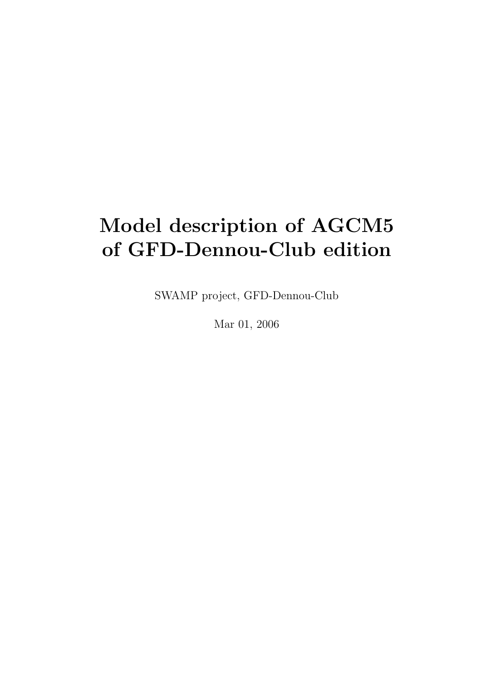# Model description of AGCM5 of GFD-Dennou-Club edition

SWAMP project, GFD-Dennou-Club

Mar 01, 2006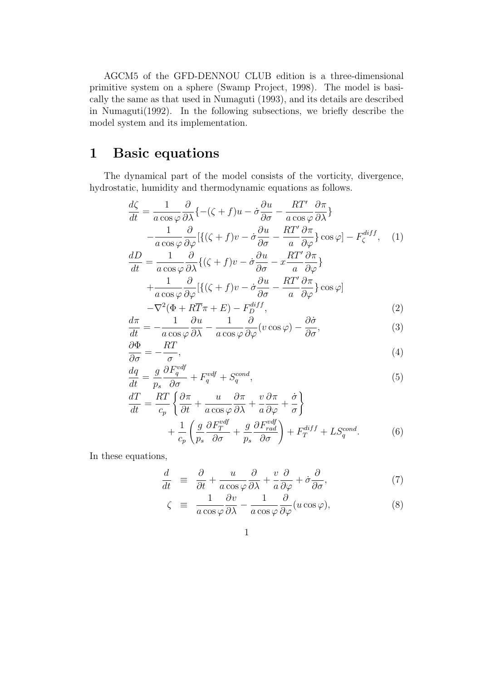AGCM5 of the GFD-DENNOU CLUB edition is a three-dimensional primitive system on a sphere (Swamp Project, 1998). The model is basically the same as that used in Numaguti (1993), and its details are described in Numaguti(1992). In the following subsections, we briefly describe the model system and its implementation.

## 1 Basic equations

The dynamical part of the model consists of the vorticity, divergence, hydrostatic, humidity and thermodynamic equations as follows.

$$
\frac{d\zeta}{dt} = \frac{1}{a\cos\varphi} \frac{\partial}{\partial\lambda} \{ -(\zeta + f)u - \dot{\sigma}\frac{\partial u}{\partial\sigma} - \frac{RT'}{a\cos\varphi} \frac{\partial\pi}{\partial\lambda} \} \n- \frac{1}{a\cos\varphi} \frac{\partial}{\partial\varphi} [\{ (\zeta + f)v - \dot{\sigma}\frac{\partial u}{\partial\sigma} - \frac{RT'}{a} \frac{\partial\pi}{\partial\varphi} \} \cos\varphi] - F_{\zeta}^{diff}, \quad (1) \n\frac{dD}{dt} = \frac{1}{a\cos\varphi} \frac{\partial}{\partial\lambda} \{ (\zeta + f)v - \dot{\sigma}\frac{\partial u}{\partial\sigma} - x\frac{RT'}{a} \frac{\partial\pi}{\partial\varphi} \} \n+ \frac{1}{a\cos\varphi} \frac{\partial}{\partial\varphi} [\{ (\zeta + f)v - \dot{\sigma}\frac{\partial u}{\partial\sigma} - \frac{RT'}{a} \frac{\partial\pi}{\partial\varphi} \} \cos\varphi ]
$$

$$
\begin{array}{ccc}\n a \cos \varphi \, \partial \varphi^{11} & \partial \sigma & a \, \partial \varphi^{12} \\
-\nabla^2 (\Phi + R\overline{T}\pi + E) - F_D^{diff},\n\end{array} \tag{2}
$$

$$
\frac{d\pi}{dt} = -\frac{1}{a\cos\varphi}\frac{\partial u}{\partial\lambda} - \frac{1}{a\cos\varphi}\frac{\partial}{\partial\varphi}(v\cos\varphi) - \frac{\partial\dot{\sigma}}{\partial\sigma},\tag{3}
$$

$$
\frac{\partial \Phi}{\partial \sigma} = -\frac{RT}{\sigma},\tag{4}
$$

$$
\frac{dq}{dt} = \frac{g}{p_s} \frac{\partial F_q^{vdf}}{\partial \sigma} + F_q^{vdf} + S_q^{cond},\tag{5}
$$

$$
\frac{dT}{dt} = \frac{RT}{c_p} \left\{ \frac{\partial \pi}{\partial t} + \frac{u}{a \cos \varphi} \frac{\partial \pi}{\partial \lambda} + \frac{v}{a} \frac{\partial \pi}{\partial \varphi} + \frac{\dot{\sigma}}{\sigma} \right\} \n+ \frac{1}{c_p} \left( \frac{g}{p_s} \frac{\partial F_T^{vdf}}{\partial \sigma} + \frac{g}{p_s} \frac{\partial F_{rad}^{vdf}}{\partial \sigma} \right) + F_T^{diff} + LS_q^{cond}.
$$
\n(6)

In these equations,

$$
\frac{d}{dt} \equiv \frac{\partial}{\partial t} + \frac{u}{a\cos\varphi} \frac{\partial}{\partial \lambda} + \frac{v}{a} \frac{\partial}{\partial \varphi} + \dot{\sigma} \frac{\partial}{\partial \sigma},\tag{7}
$$

$$
\zeta \equiv \frac{1}{a \cos \varphi} \frac{\partial v}{\partial \lambda} - \frac{1}{a \cos \varphi} \frac{\partial}{\partial \varphi} (u \cos \varphi), \tag{8}
$$

$$
1 \\
$$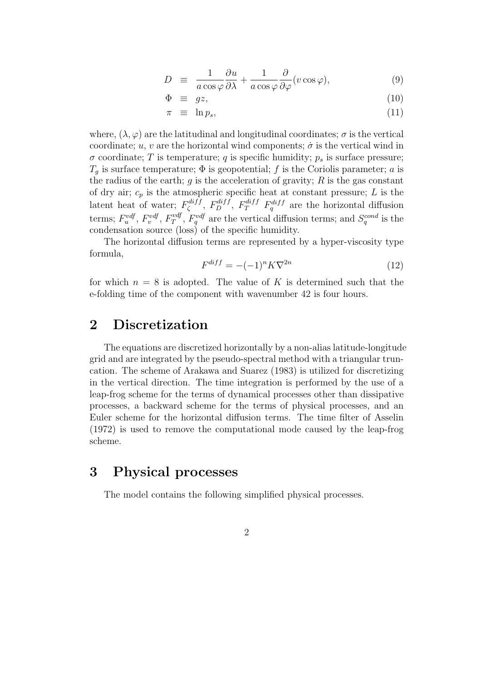$$
D \equiv \frac{1}{a \cos \varphi} \frac{\partial u}{\partial \lambda} + \frac{1}{a \cos \varphi} \frac{\partial}{\partial \varphi} (v \cos \varphi), \tag{9}
$$

$$
\Phi \equiv gz,\tag{10}
$$

$$
\pi \equiv \ln p_s,\tag{11}
$$

where,  $(\lambda, \varphi)$  are the latitudinal and longitudinal coordinates;  $\sigma$  is the vertical coordinate; u, v are the horizontal wind components;  $\dot{\sigma}$  is the vertical wind in  $\sigma$  coordinate; T is temperature; q is specific humidity;  $p_s$  is surface pressure;  $T_q$  is surface temperature;  $\Phi$  is geopotential; f is the Coriolis parameter; a is the radius of the earth;  $g$  is the acceleration of gravity;  $R$  is the gas constant of dry air;  $c_p$  is the atmospheric specific heat at constant pressure; L is the latent heat of water;  $F^{diff}_{\zeta}$  $\zeta^{diff}$ ,  $F_D^{diff}$ ,  $F_T^{diff}$   $F_q^{diff}$  are the horizontal diffusion terms;  $F_u^{vdf}$ ,  $F_v^{vdf}$ ,  $F_T^{vdf}$  $T^{vdf}$ ,  $F_q^{vdf}$  are the vertical diffusion terms; and  $S_q^{cond}$  is the condensation source (loss) of the specific humidity.

The horizontal diffusion terms are represented by a hyper-viscosity type formula,

$$
F^{diff} = -(-1)^n K \nabla^{2n} \tag{12}
$$

for which  $n = 8$  is adopted. The value of K is determined such that the e-folding time of the component with wavenumber 42 is four hours.

## 2 Discretization

The equations are discretized horizontally by a non-alias latitude-longitude grid and are integrated by the pseudo-spectral method with a triangular truncation. The scheme of Arakawa and Suarez (1983) is utilized for discretizing in the vertical direction. The time integration is performed by the use of a leap-frog scheme for the terms of dynamical processes other than dissipative processes, a backward scheme for the terms of physical processes, and an Euler scheme for the horizontal diffusion terms. The time filter of Asselin (1972) is used to remove the computational mode caused by the leap-frog scheme.

## 3 Physical processes

The model contains the following simplified physical processes.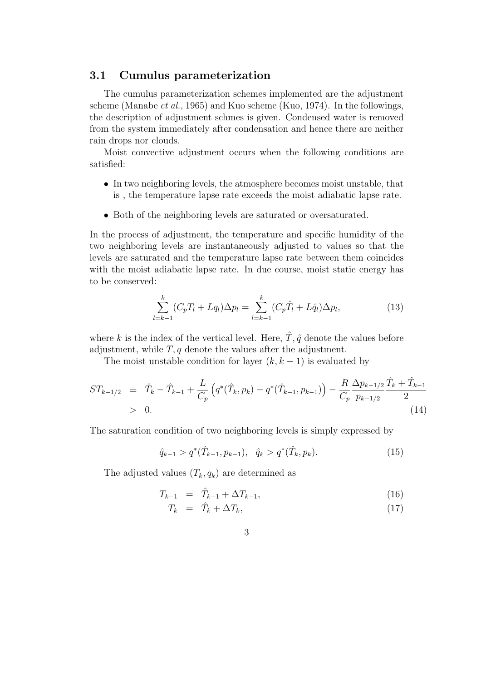#### 3.1 Cumulus parameterization

The cumulus parameterization schemes implemented are the adjustment scheme (Manabe et al., 1965) and Kuo scheme (Kuo, 1974). In the followings, the description of adjustment schmes is given. Condensed water is removed from the system immediately after condensation and hence there are neither rain drops nor clouds.

Moist convective adjustment occurs when the following conditions are satisfied:

- In two neighboring levels, the atmosphere becomes moist unstable, that is , the temperature lapse rate exceeds the moist adiabatic lapse rate.
- Both of the neighboring levels are saturated or oversaturated.

In the process of adjustment, the temperature and specific humidity of the two neighboring levels are instantaneously adjusted to values so that the levels are saturated and the temperature lapse rate between them coincides with the moist adiabatic lapse rate. In due course, moist static energy has to be conserved:

$$
\sum_{l=k-1}^{k} (C_p T_l + Lq_l) \Delta p_l = \sum_{l=k-1}^{k} (C_p \hat{T}_l + L\hat{q}_l) \Delta p_l,
$$
\n(13)

where k is the index of the vertical level. Here,  $\hat{T}, \hat{q}$  denote the values before adjustment, while  $T, q$  denote the values after the adjustment.

The moist unstable condition for layer  $(k, k - 1)$  is evaluated by

$$
ST_{k-1/2} \equiv \hat{T}_k - \hat{T}_{k-1} + \frac{L}{C_p} \left( q^*(\hat{T}_k, p_k) - q^*(\hat{T}_{k-1}, p_{k-1}) \right) - \frac{R}{C_p} \frac{\Delta p_{k-1/2}}{p_{k-1/2}} \frac{\hat{T}_k + \hat{T}_{k-1}}{2}
$$
  
> 0. (14)

The saturation condition of two neighboring levels is simply expressed by

$$
\hat{q}_{k-1} > q^*(\hat{T}_{k-1}, p_{k-1}), \quad \hat{q}_k > q^*(\hat{T}_k, p_k). \tag{15}
$$

The adjusted values  $(T_k, q_k)$  are determined as

$$
T_{k-1} = \hat{T}_{k-1} + \Delta T_{k-1}, \tag{16}
$$

$$
T_k = \hat{T}_k + \Delta T_k, \tag{17}
$$

3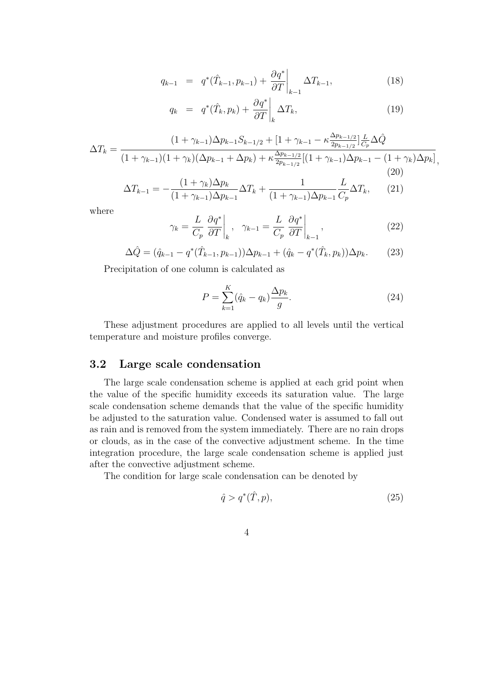$$
q_{k-1} = q^*(\hat{T}_{k-1}, p_{k-1}) + \frac{\partial q^*}{\partial T}\bigg|_{k-1} \Delta T_{k-1},
$$
\n(18)

$$
q_k = q^*(\hat{T}_k, p_k) + \frac{\partial q^*}{\partial T}\bigg|_k \Delta T_k, \tag{19}
$$

$$
\Delta T_k = \frac{(1 + \gamma_{k-1})\Delta p_{k-1} S_{k-1/2} + [1 + \gamma_{k-1} - \kappa \frac{\Delta p_{k-1/2}}{2p_{k-1/2}}] \frac{L}{C_p} \Delta \hat{Q}}{(1 + \gamma_{k-1})(1 + \gamma_k)(\Delta p_{k-1} + \Delta p_k) + \kappa \frac{\Delta p_{k-1/2}}{2p_{k-1/2}} [(1 + \gamma_{k-1})\Delta p_{k-1} - (1 + \gamma_k)\Delta p_k]},
$$
\n(20)

$$
\Delta T_{k-1} = -\frac{(1+\gamma_k)\Delta p_k}{(1+\gamma_{k-1})\Delta p_{k-1}} \Delta T_k + \frac{1}{(1+\gamma_{k-1})\Delta p_{k-1}} \frac{L}{C_p} \Delta T_k, \qquad (21)
$$

where

$$
\gamma_k = \frac{L}{C_p} \left. \frac{\partial q^*}{\partial T} \right|_k, \quad \gamma_{k-1} = \frac{L}{C_p} \left. \frac{\partial q^*}{\partial T} \right|_{k-1}, \tag{22}
$$

$$
\Delta \hat{Q} = (\hat{q}_{k-1} - q^*(\hat{T}_{k-1}, p_{k-1}))\Delta p_{k-1} + (\hat{q}_k - q^*(\hat{T}_k, p_k))\Delta p_k.
$$
 (23)

Precipitation of one column is calculated as

$$
P = \sum_{k=1}^{K} (\hat{q}_k - q_k) \frac{\Delta p_k}{g}.
$$
\n
$$
(24)
$$

These adjustment procedures are applied to all levels until the vertical temperature and moisture profiles converge.

#### 3.2 Large scale condensation

The large scale condensation scheme is applied at each grid point when the value of the specific humidity exceeds its saturation value. The large scale condensation scheme demands that the value of the specific humidity be adjusted to the saturation value. Condensed water is assumed to fall out as rain and is removed from the system immediately. There are no rain drops or clouds, as in the case of the convective adjustment scheme. In the time integration procedure, the large scale condensation scheme is applied just after the convective adjustment scheme.

The condition for large scale condensation can be denoted by

$$
\hat{q} > q^*(\hat{T}, p),\tag{25}
$$

$$
4\,
$$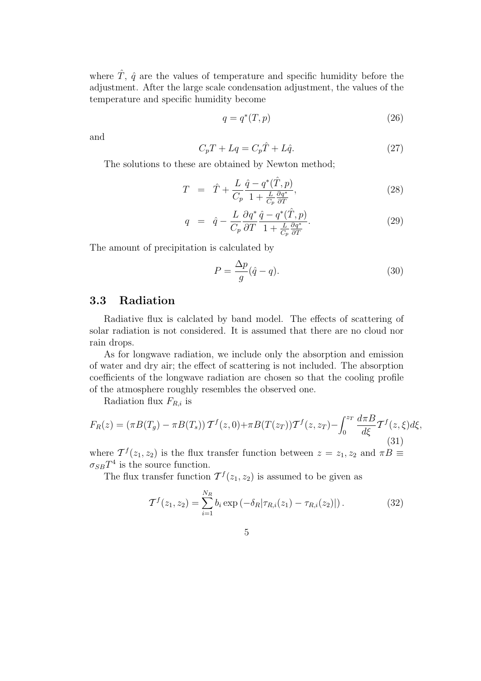where  $\hat{T}$ ,  $\hat{q}$  are the values of temperature and specific humidity before the adjustment. After the large scale condensation adjustment, the values of the temperature and specific humidity become

$$
q = q^*(T, p) \tag{26}
$$

and

$$
C_p T + Lq = C_p \hat{T} + L\hat{q}.
$$
\n
$$
(27)
$$

The solutions to these are obtained by Newton method;

$$
T = \hat{T} + \frac{L}{C_p} \frac{\hat{q} - q^*(\hat{T}, p)}{1 + \frac{L}{C_p} \frac{\partial q^*}{\partial T}},
$$
\n(28)

$$
q = \hat{q} - \frac{L}{C_p} \frac{\partial q^*}{\partial T} \frac{\hat{q} - q^*(\hat{T}, p)}{1 + \frac{L}{C_p} \frac{\partial q^*}{\partial T}}.
$$
\n(29)

The amount of precipitation is calculated by

$$
P = \frac{\Delta p}{g}(\hat{q} - q). \tag{30}
$$

### 3.3 Radiation

Radiative flux is calclated by band model. The effects of scattering of solar radiation is not considered. It is assumed that there are no cloud nor rain drops.

As for longwave radiation, we include only the absorption and emission of water and dry air; the effect of scattering is not included. The absorption coefficients of the longwave radiation are chosen so that the cooling profile of the atmosphere roughly resembles the observed one.

Radiation flux  $F_{R,i}$  is

$$
F_R(z) = (\pi B(T_g) - \pi B(T_s)) \mathcal{T}^f(z, 0) + \pi B(T(z_T)) \mathcal{T}^f(z, z_T) - \int_0^{z_T} \frac{d\pi B}{d\xi} \mathcal{T}^f(z, \xi) d\xi,
$$
  
where  $\mathcal{T}^f(z, z)$  is the flux tangent function between z, z, and  $\pi B =$ 

where  $\mathcal{T}^{f}(z_1, z_2)$  is the flux transfer function between  $z = z_1, z_2$  and  $\pi B \equiv$  $\sigma_{SB}T^4$  is the source function.

The flux transfer function  $\mathcal{T}^f(z_1, z_2)$  is assumed to be given as

$$
\mathcal{T}^{f}(z_1, z_2) = \sum_{i=1}^{N_R} b_i \exp\left(-\delta_R |\tau_{R,i}(z_1) - \tau_{R,i}(z_2)|\right).
$$
 (32)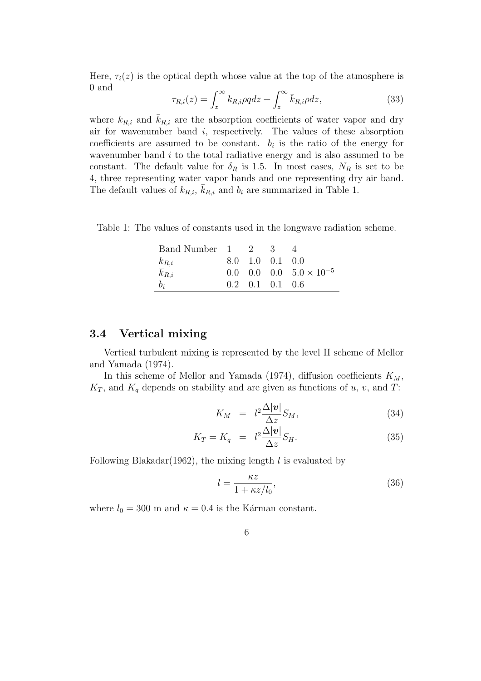Here,  $\tau_i(z)$  is the optical depth whose value at the top of the atmosphere is 0 and  $\overline{r}$ 

$$
\tau_{R,i}(z) = \int_{z}^{\infty} k_{R,i} \rho q dz + \int_{z}^{\infty} \bar{k}_{R,i} \rho dz, \qquad (33)
$$

where  $k_{R,i}$  and  $\overline{k}_{R,i}$  are the absorption coefficients of water vapor and dry air for wavenumber band  $i$ , respectively. The values of these absorption coefficients are assumed to be constant.  $b_i$  is the ratio of the energy for wavenumber band  $i$  to the total radiative energy and is also assumed to be constant. The default value for  $\delta_R$  is 1.5. In most cases,  $N_R$  is set to be 4, three representing water vapor bands and one representing dry air band. The default values of  $k_{R,i}$ ,  $\overline{k}_{R,i}$  and  $b_i$  are summarized in Table 1.

Table 1: The values of constants used in the longwave radiation scheme.

| Band Number 1 2 3         |  |                                     |                                  |
|---------------------------|--|-------------------------------------|----------------------------------|
|                           |  | 8.0 1.0 0.1 0.0                     |                                  |
| $\frac{k_{R,i}}{k_{R,i}}$ |  |                                     | 0.0 0.0 0.0 $5.0 \times 10^{-5}$ |
| $b_i$                     |  | $0.2 \quad 0.1 \quad 0.1 \quad 0.6$ |                                  |

#### 3.4 Vertical mixing

Vertical turbulent mixing is represented by the level II scheme of Mellor and Yamada (1974).

In this scheme of Mellor and Yamada (1974), diffusion coefficients  $K_M$ ,  $K_T$ , and  $K_q$  depends on stability and are given as functions of u, v, and T:

$$
K_M = l^2 \frac{\Delta |\mathbf{v}|}{\Delta z} S_M, \tag{34}
$$

$$
K_T = K_q = l^2 \frac{\Delta |\mathbf{v}|}{\Delta z} S_H.
$$
\n(35)

Following Blakadar(1962), the mixing length  $l$  is evaluated by

$$
l = \frac{\kappa z}{1 + \kappa z / l_0},\tag{36}
$$

where  $l_0 = 300$  m and  $\kappa = 0.4$  is the Kárman constant.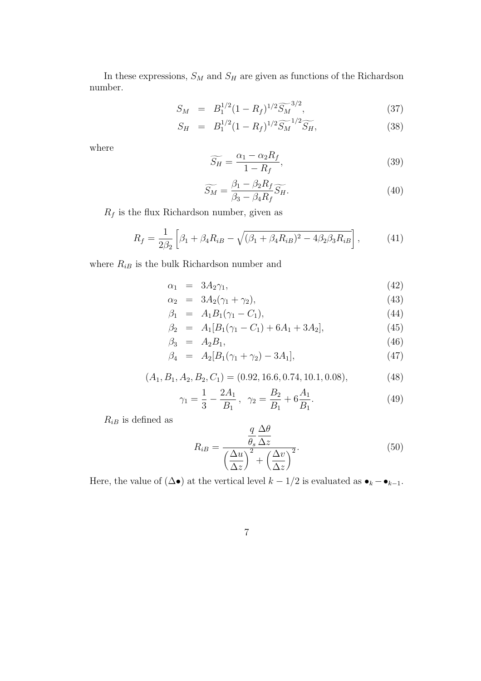In these expressions,  ${\cal S}_{\cal M}$  and  ${\cal S}_{\cal H}$  are given as functions of the Richardson number.

$$
S_M = B_1^{1/2} (1 - R_f)^{1/2} \widetilde{S_M}^{3/2}, \tag{37}
$$

$$
S_H = B_1^{1/2} (1 - R_f)^{1/2} \widetilde{S_M}^{1/2} \widetilde{S_H}, \tag{38}
$$

where

$$
\widetilde{S_H} = \frac{\alpha_1 - \alpha_2 R_f}{1 - R_f},\tag{39}
$$

$$
\widetilde{S_M} = \frac{\beta_1 - \beta_2 R_f}{\beta_3 - \beta_4 R_f} \widetilde{S_H}.
$$
\n(40)

 $\mathcal{R}_f$  is the flux Richardson number, given as

$$
R_f = \frac{1}{2\beta_2} \left[ \beta_1 + \beta_4 R_{iB} - \sqrt{(\beta_1 + \beta_4 R_{iB})^2 - 4\beta_2 \beta_3 R_{iB}} \right],\tag{41}
$$

where  $\mathcal{R}_{iB}$  is the bulk Richardson number and

 $\alpha_1 = 3A_2\gamma_1,$  (42)

$$
\alpha_2 = 3A_2(\gamma_1 + \gamma_2), \tag{43}
$$

$$
\beta_1 = A_1 B_1 (\gamma_1 - C_1), \tag{44}
$$

$$
\beta_2 = A_1[B_1(\gamma_1 - C_1) + 6A_1 + 3A_2], \tag{45}
$$

$$
\beta_3 = A_2 B_1,\tag{46}
$$

$$
\beta_4 = A_2[B_1(\gamma_1 + \gamma_2) - 3A_1], \tag{47}
$$

$$
(A_1, B_1, A_2, B_2, C_1) = (0.92, 16.6, 0.74, 10.1, 0.08),
$$
\n<sup>(48)</sup>

$$
\gamma_1 = \frac{1}{3} - \frac{2A_1}{B_1}, \quad \gamma_2 = \frac{B_2}{B_1} + 6\frac{A_1}{B_1}.\tag{49}
$$

 $R_{iB}$  is defined as

$$
R_{iB} = \frac{\frac{q}{\theta_s} \frac{\Delta \theta}{\Delta z}}{\left(\frac{\Delta u}{\Delta z}\right)^2 + \left(\frac{\Delta v}{\Delta z}\right)^2}.
$$
\n(50)

Here, the value of  $(\Delta \bullet)$  at the vertical level  $k - 1/2$  is evaluated as  $\bullet_k - \bullet_{k-1}$ .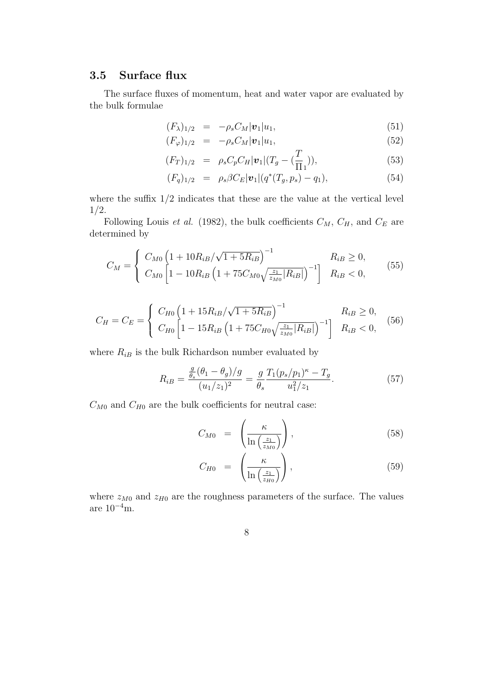## 3.5 Surface flux

The surface fluxes of momentum, heat and water vapor are evaluated by the bulk formulae

$$
(F_{\lambda})_{1/2} = -\rho_s C_M |\mathbf{v}_1| u_1, \qquad (51)
$$

$$
(F_{\varphi})_{1/2} = -\rho_s C_M |\mathbf{v}_1| u_1, \tag{52}
$$

$$
(F_T)_{1/2} = \rho_s C_p C_H |\mathbf{v}_1| (T_g - (\frac{T}{\Pi_1})), \tag{53}
$$

$$
(F_q)_{1/2} = \rho_s \beta C_E |\mathbf{v}_1| (q^*(T_g, p_s) - q_1), \qquad (54)
$$

where the suffix  $1/2$  indicates that these are the value at the vertical level 1/2.

Following Louis *et al.* (1982), the bulk coefficients  $C_M$ ,  $C_H$ , and  $C_E$  are determined by

$$
C_M = \begin{cases} C_{M0} \left( 1 + 10 R_{iB} / \sqrt{1 + 5 R_{iB}} \right)^{-1} & R_{iB} \ge 0, \\ C_{M0} \left[ 1 - 10 R_{iB} \left( 1 + 75 C_{M0} \sqrt{\frac{z_1}{z_{M0}} |R_{iB}|} \right)^{-1} \right] & R_{iB} < 0, \end{cases}
$$
(55)

$$
C_H = C_E = \begin{cases} C_{H0} \left( 1 + 15 R_{iB} / \sqrt{1 + 5 R_{iB}} \right)^{-1} & R_{iB} \ge 0, \\ C_{H0} \left[ 1 - 15 R_{iB} \left( 1 + 75 C_{H0} \sqrt{\frac{z_1}{z_{M0}} |R_{iB}|} \right)^{-1} \right] & R_{iB} < 0, \end{cases}
$$
(56)

where  $R_{iB}$  is the bulk Richardson number evaluated by

$$
R_{iB} = \frac{\frac{g}{\theta_s}(\theta_1 - \theta_g)/g}{(u_1/z_1)^2} = \frac{g}{\theta_s} \frac{T_1(p_s/p_1)^\kappa - T_g}{u_1^2/z_1}.
$$
 (57)

 $C_{M0}$  and  $C_{H0}$  are the bulk coefficients for neutral case:

$$
C_{M0} = \left(\frac{\kappa}{\ln\left(\frac{z_1}{z_{M0}}\right)}\right),\tag{58}
$$

$$
C_{H0} = \left(\frac{\kappa}{\ln\left(\frac{z_1}{z_{H0}}\right)}\right),\tag{59}
$$

where  $z_{M0}$  and  $z_{H0}$  are the roughness parameters of the surface. The values are  $10^{-4}$ m.